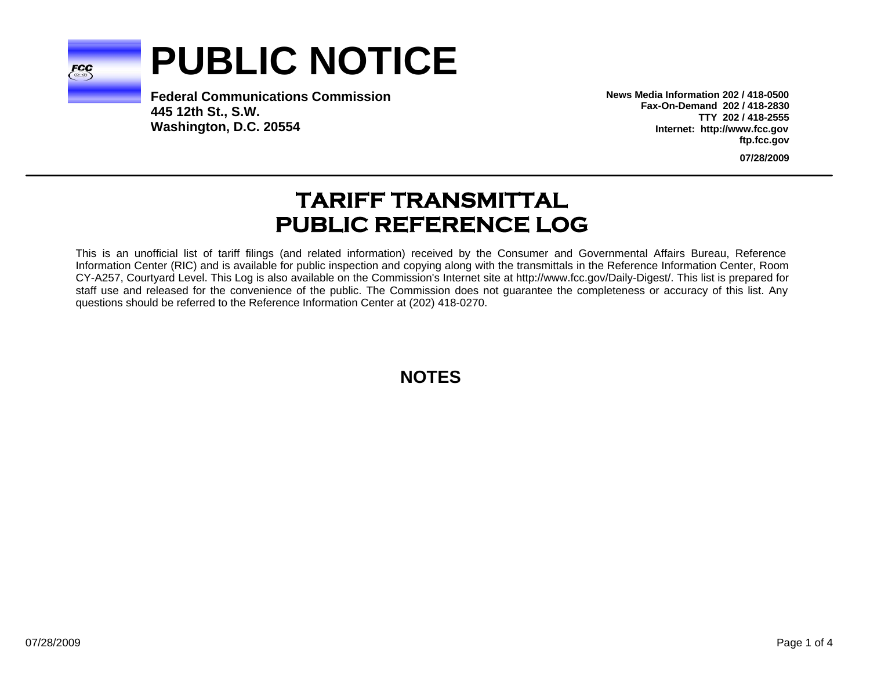

# **PUBLIC NOTICE**

**Federal Communications Commission445 12th St., S.W. Washington, D.C. 20554**

**News Media Information 202 / 418-0500Fax-On-Demand 202 / 418-2830TTY 202 / 418-2555Internet: http://www.fcc.gov ftp.fcc.gov**

**07/28/2009**

# **TARIFF TRANSMITTAL PUBLIC REFERENCE LOG**

This is an unofficial list of tariff filings (and related information) received by the Consumer and Governmental Affairs Bureau, Reference Information Center (RIC) and is available for public inspection and copying along with the transmittals in the Reference Information Center, Room CY-A257, Courtyard Level. This Log is also available on the Commission's Internet site at http://www.fcc.gov/Daily-Digest/. This list is prepared for staff use and released for the convenience of the public. The Commission does not guarantee the completeness or accuracy of this list. Any questions should be referred to the Reference Information Center at (202) 418-0270.

**NOTES**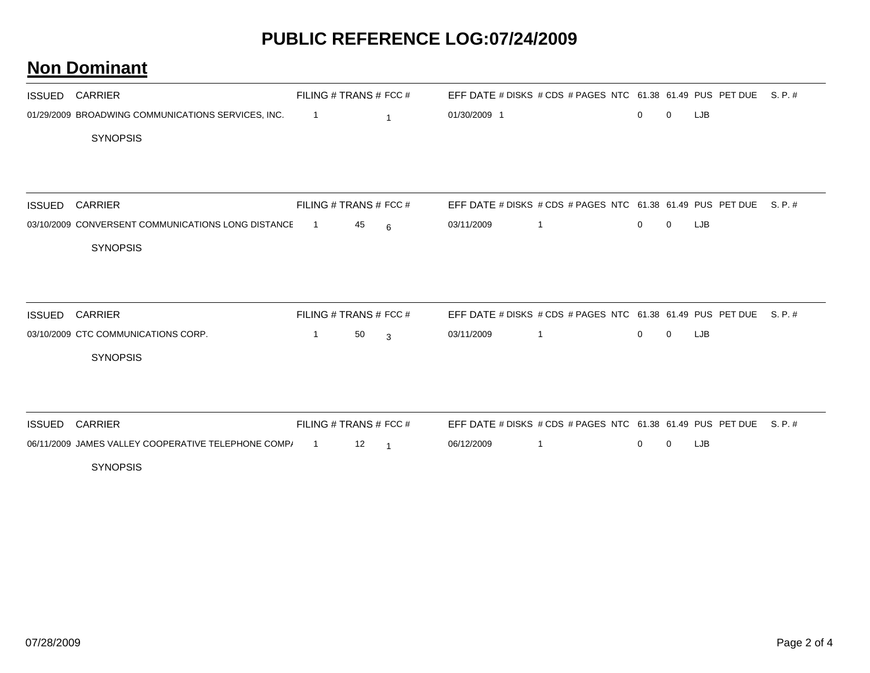## **PUBLIC REFERENCE LOG:07/24/2009**

#### **Non Dominant**

|               | <b>ISSUED CARRIER</b>                               | FILING # TRANS # FCC # |    |                |              | EFF DATE # DISKS # CDS # PAGES NTC $61.38$ 61.49 PUS PET DUE S. P. # |              |              |            |         |
|---------------|-----------------------------------------------------|------------------------|----|----------------|--------------|----------------------------------------------------------------------|--------------|--------------|------------|---------|
|               | 01/29/2009 BROADWING COMMUNICATIONS SERVICES, INC.  | $\overline{1}$         |    | $\mathbf{1}$   | 01/30/2009 1 |                                                                      | $\mathbf{0}$ | $\mathbf 0$  | LJB        |         |
|               | <b>SYNOPSIS</b>                                     |                        |    |                |              |                                                                      |              |              |            |         |
|               |                                                     |                        |    |                |              |                                                                      |              |              |            |         |
|               |                                                     |                        |    |                |              |                                                                      |              |              |            |         |
| <b>ISSUED</b> | <b>CARRIER</b>                                      | FILING # TRANS # FCC # |    |                |              | EFF DATE # DISKS # CDS # PAGES NTC 61.38 61.49 PUS PET DUE           |              |              |            | S.P.#   |
|               | 03/10/2009 CONVERSENT COMMUNICATIONS LONG DISTANCE  | $\overline{1}$         | 45 | 6              | 03/11/2009   | $\mathbf{1}$                                                         | $\mathbf 0$  | $\mathbf{0}$ | <b>LJB</b> |         |
|               | <b>SYNOPSIS</b>                                     |                        |    |                |              |                                                                      |              |              |            |         |
|               |                                                     |                        |    |                |              |                                                                      |              |              |            |         |
| ISSUED        | <b>CARRIER</b>                                      | FILING # TRANS # FCC # |    |                |              | EFF DATE # DISKS # CDS # PAGES NTC 61.38 61.49 PUS PET DUE           |              |              |            | S. P. # |
|               | 03/10/2009 CTC COMMUNICATIONS CORP.                 | $\overline{1}$         | 50 | 3              | 03/11/2009   | $\mathbf{1}$                                                         | $\mathbf{0}$ | $\mathbf 0$  | LJB        |         |
|               | <b>SYNOPSIS</b>                                     |                        |    |                |              |                                                                      |              |              |            |         |
|               |                                                     |                        |    |                |              |                                                                      |              |              |            |         |
|               | <b>ISSUED CARRIER</b>                               | FILING # TRANS # FCC # |    |                |              | EFF DATE # DISKS # CDS # PAGES NTC 61.38 61.49 PUS PET DUE S. P. #   |              |              |            |         |
|               | 06/11/2009 JAMES VALLEY COOPERATIVE TELEPHONE COMP/ | $\overline{1}$         | 12 | $\overline{1}$ | 06/12/2009   | $\mathbf{1}$                                                         | $\mathbf{0}$ | $\mathbf 0$  | LJB        |         |
|               | <b>SYNOPSIS</b>                                     |                        |    |                |              |                                                                      |              |              |            |         |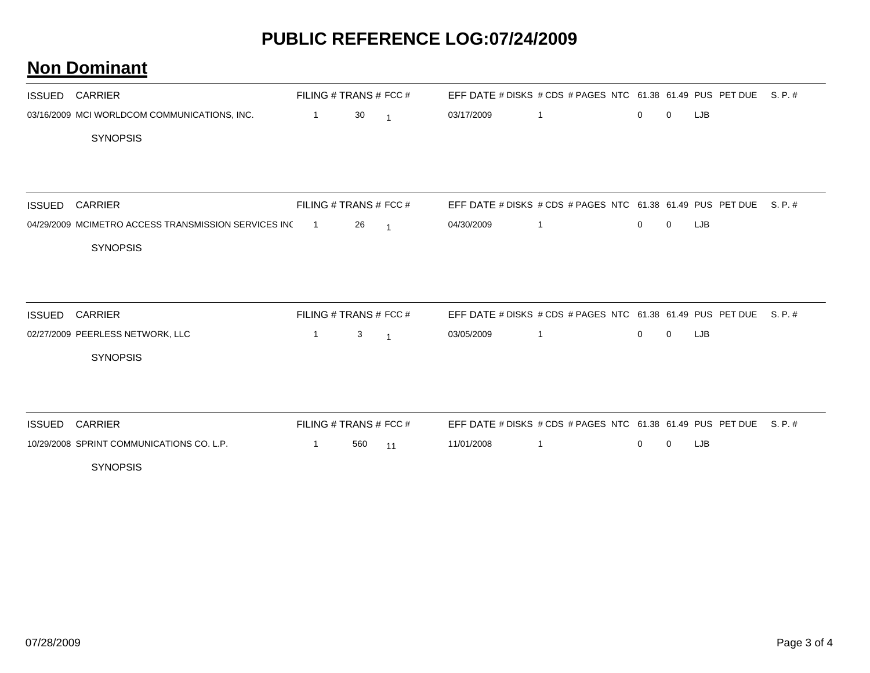## **PUBLIC REFERENCE LOG:07/24/2009**

#### **Non Dominant**

|        | <b>ISSUED CARRIER</b>                                | FILING # TRANS # FCC # |     |                |            | EFF DATE # DISKS # CDS # PAGES NTC 61.38 61.49 PUS PET DUE |             |             |     | S. P. # |
|--------|------------------------------------------------------|------------------------|-----|----------------|------------|------------------------------------------------------------|-------------|-------------|-----|---------|
|        | 03/16/2009 MCI WORLDCOM COMMUNICATIONS, INC.         | $\overline{1}$         | 30  | $\overline{1}$ | 03/17/2009 | $\mathbf{1}$                                               | 0           | 0           | LJB |         |
|        | <b>SYNOPSIS</b>                                      |                        |     |                |            |                                                            |             |             |     |         |
|        |                                                      |                        |     |                |            |                                                            |             |             |     |         |
| ISSUED | <b>CARRIER</b>                                       | FILING # TRANS # FCC # |     |                |            | EFF DATE # DISKS # CDS # PAGES NTC 61.38 61.49 PUS PET DUE |             |             |     | S. P. # |
|        | 04/29/2009 MCIMETRO ACCESS TRANSMISSION SERVICES INC | $\overline{1}$         | 26  | $\overline{1}$ | 04/30/2009 | $\mathbf{1}$                                               | $\mathbf 0$ | $\mathbf 0$ | LJB |         |
|        | <b>SYNOPSIS</b>                                      |                        |     |                |            |                                                            |             |             |     |         |
|        |                                                      |                        |     |                |            |                                                            |             |             |     |         |
| ISSUED | <b>CARRIER</b>                                       | FILING # TRANS # FCC # |     |                |            | EFF DATE # DISKS # CDS # PAGES NTC 61.38 61.49 PUS PET DUE |             |             |     | S. P. # |
|        | 02/27/2009 PEERLESS NETWORK, LLC                     | $\mathbf{1}$           | 3   | $\overline{1}$ | 03/05/2009 | $\mathbf{1}$                                               | $\mathbf 0$ | $\mathbf 0$ | LJB |         |
|        | <b>SYNOPSIS</b>                                      |                        |     |                |            |                                                            |             |             |     |         |
|        |                                                      |                        |     |                |            |                                                            |             |             |     |         |
|        | <b>ISSUED CARRIER</b>                                | FILING # TRANS # FCC # |     |                |            | EFF DATE # DISKS # CDS # PAGES NTC 61.38 61.49 PUS PET DUE |             |             |     | S. P. # |
|        | 10/29/2008 SPRINT COMMUNICATIONS CO. L.P.            | $\mathbf{1}$           | 560 | 11             | 11/01/2008 | $\mathbf{1}$                                               | $\mathbf 0$ | $\Omega$    | LJB |         |
|        | <b>SYNOPSIS</b>                                      |                        |     |                |            |                                                            |             |             |     |         |